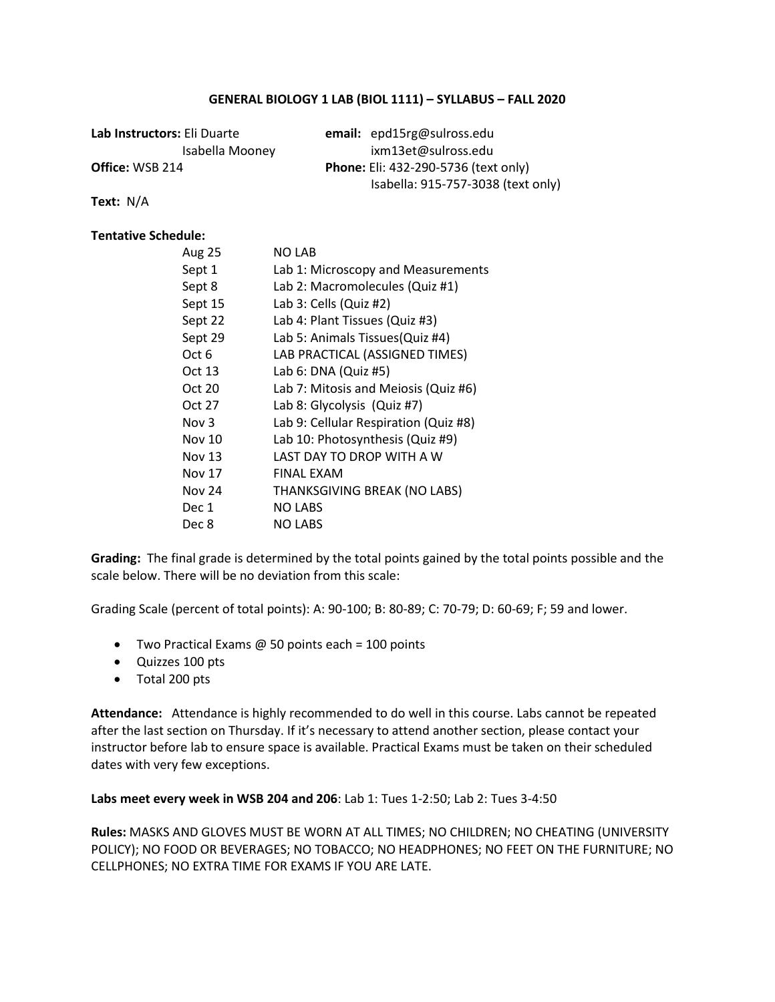# **GENERAL BIOLOGY 1 LAB (BIOL 1111) – SYLLABUS – FALL 2020**

| Lab Instructors: Eli Duarte | email: epd15rg@sulross.edu                  |
|-----------------------------|---------------------------------------------|
| Isabella Mooney             | ixm13et@sulross.edu                         |
| <b>Office:</b> WSB 214      | <b>Phone:</b> Eli: 432-290-5736 (text only) |
|                             | Isabella: 915-757-3038 (text only)          |

**Text:** N/A

# **Tentative Schedule:**

| Aug 25        | <b>NO LAB</b>                         |
|---------------|---------------------------------------|
| Sept 1        | Lab 1: Microscopy and Measurements    |
| Sept 8        | Lab 2: Macromolecules (Quiz #1)       |
| Sept 15       | Lab 3: Cells (Quiz #2)                |
| Sept 22       | Lab 4: Plant Tissues (Quiz #3)        |
| Sept 29       | Lab 5: Animals Tissues (Quiz #4)      |
| Oct 6         | LAB PRACTICAL (ASSIGNED TIMES)        |
| Oct 13        | Lab 6: DNA (Quiz #5)                  |
| Oct 20        | Lab 7: Mitosis and Meiosis (Quiz #6)  |
| Oct 27        | Lab 8: Glycolysis (Quiz #7)           |
| Nov 3         | Lab 9: Cellular Respiration (Quiz #8) |
| Nov 10        | Lab 10: Photosynthesis (Quiz #9)      |
| Nov 13        | LAST DAY TO DROP WITH A W             |
| Nov 17        | <b>FINAL EXAM</b>                     |
| <b>Nov 24</b> | THANKSGIVING BREAK (NO LABS)          |
| Dec 1         | <b>NO LABS</b>                        |
| Dec 8         | <b>NO LABS</b>                        |

**Grading:** The final grade is determined by the total points gained by the total points possible and the scale below. There will be no deviation from this scale:

Grading Scale (percent of total points): A: 90-100; B: 80-89; C: 70-79; D: 60-69; F; 59 and lower.

- Two Practical Exams  $@$  50 points each = 100 points
- Quizzes 100 pts
- Total 200 pts

**Attendance:** Attendance is highly recommended to do well in this course. Labs cannot be repeated after the last section on Thursday. If it's necessary to attend another section, please contact your instructor before lab to ensure space is available. Practical Exams must be taken on their scheduled dates with very few exceptions.

**Labs meet every week in WSB 204 and 206**: Lab 1: Tues 1-2:50; Lab 2: Tues 3-4:50

**Rules:** MASKS AND GLOVES MUST BE WORN AT ALL TIMES; NO CHILDREN; NO CHEATING (UNIVERSITY POLICY); NO FOOD OR BEVERAGES; NO TOBACCO; NO HEADPHONES; NO FEET ON THE FURNITURE; NO CELLPHONES; NO EXTRA TIME FOR EXAMS IF YOU ARE LATE.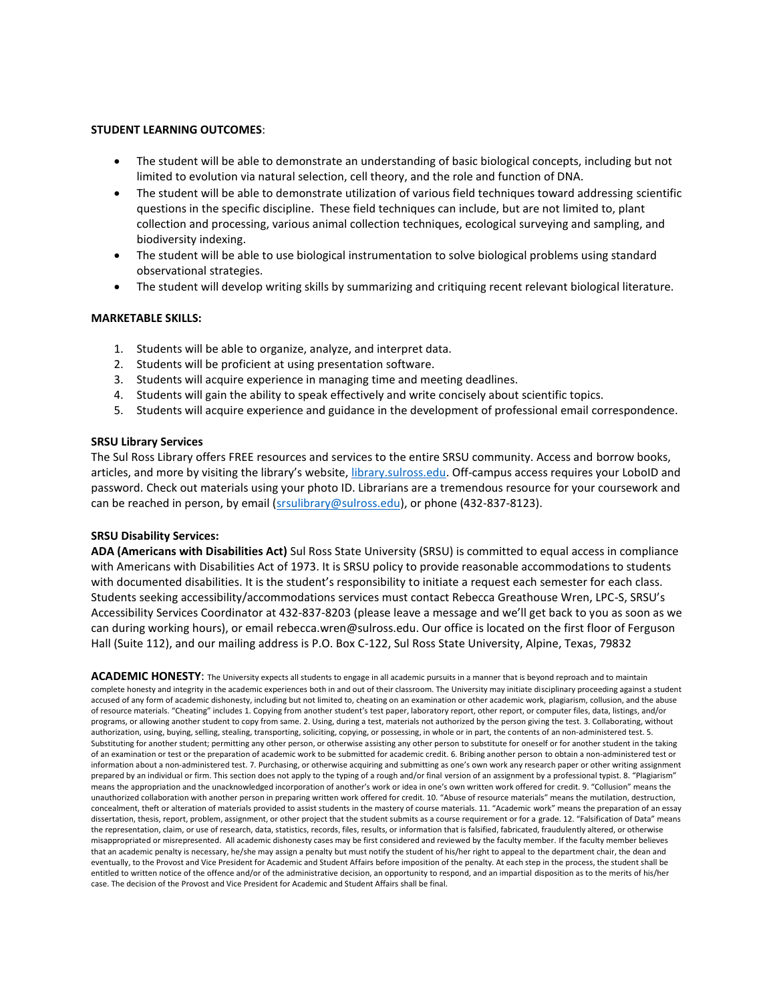## **STUDENT LEARNING OUTCOMES**:

- The student will be able to demonstrate an understanding of basic biological concepts, including but not limited to evolution via natural selection, cell theory, and the role and function of DNA.
- The student will be able to demonstrate utilization of various field techniques toward addressing scientific questions in the specific discipline. These field techniques can include, but are not limited to, plant collection and processing, various animal collection techniques, ecological surveying and sampling, and biodiversity indexing.
- The student will be able to use biological instrumentation to solve biological problems using standard observational strategies.
- The student will develop writing skills by summarizing and critiquing recent relevant biological literature.

## **MARKETABLE SKILLS:**

- 1. Students will be able to organize, analyze, and interpret data.
- 2. Students will be proficient at using presentation software.
- 3. Students will acquire experience in managing time and meeting deadlines.
- 4. Students will gain the ability to speak effectively and write concisely about scientific topics.
- 5. Students will acquire experience and guidance in the development of professional email correspondence.

## **SRSU Library Services**

The Sul Ross Library offers FREE resources and services to the entire SRSU community. Access and borrow books, articles, and more by visiting the library's website, [library.sulross.edu.](https://library.sulross.edu/) Off-campus access requires your LoboID and password. Check out materials using your photo ID. Librarians are a tremendous resource for your coursework and can be reached in person, by email [\(srsulibrary@sulross.edu\)](mailto:srsulibrary@sulross.edu), or phone (432-837-8123).

## **SRSU Disability Services:**

**ADA (Americans with Disabilities Act)** Sul Ross State University (SRSU) is committed to equal access in compliance with Americans with Disabilities Act of 1973. It is SRSU policy to provide reasonable accommodations to students with documented disabilities. It is the student's responsibility to initiate a request each semester for each class. Students seeking accessibility/accommodations services must contact Rebecca Greathouse Wren, LPC-S, SRSU's Accessibility Services Coordinator at 432-837-8203 (please leave a message and we'll get back to you as soon as we can during working hours), or email rebecca.wren@sulross.edu. Our office is located on the first floor of Ferguson Hall (Suite 112), and our mailing address is P.O. Box C-122, Sul Ross State University, Alpine, Texas, 79832

ACADEMIC HONESTY: The University expects all students to engage in all academic pursuits in a manner that is beyond reproach and to maintain complete honesty and integrity in the academic experiences both in and out of their classroom. The University may initiate disciplinary proceeding against a student accused of any form of academic dishonesty, including but not limited to, cheating on an examination or other academic work, plagiarism, collusion, and the abuse of resource materials. "Cheating" includes 1. Copying from another student's test paper, laboratory report, other report, or computer files, data, listings, and/or programs, or allowing another student to copy from same. 2. Using, during a test, materials not authorized by the person giving the test. 3. Collaborating, without authorization, using, buying, selling, stealing, transporting, soliciting, copying, or possessing, in whole or in part, the contents of an non-administered test. 5. Substituting for another student; permitting any other person, or otherwise assisting any other person to substitute for oneself or for another student in the taking of an examination or test or the preparation of academic work to be submitted for academic credit. 6. Bribing another person to obtain a non-administered test or information about a non-administered test. 7. Purchasing, or otherwise acquiring and submitting as one's own work any research paper or other writing assignment prepared by an individual or firm. This section does not apply to the typing of a rough and/or final version of an assignment by a professional typist. 8. "Plagiarism" means the appropriation and the unacknowledged incorporation of another's work or idea in one's own written work offered for credit. 9. "Collusion" means the unauthorized collaboration with another person in preparing written work offered for credit. 10. "Abuse of resource materials" means the mutilation, destruction, concealment, theft or alteration of materials provided to assist students in the mastery of course materials. 11. "Academic work" means the preparation of an essay dissertation, thesis, report, problem, assignment, or other project that the student submits as a course requirement or for a grade, 12. "Falsification of Data" means the representation, claim, or use of research, data, statistics, records, files, results, or information that is falsified, fabricated, fraudulently altered, or otherwise misappropriated or misrepresented. All academic dishonesty cases may be first considered and reviewed by the faculty member. If the faculty member believes that an academic penalty is necessary, he/she may assign a penalty but must notify the student of his/her right to appeal to the department chair, the dean and eventually, to the Provost and Vice President for Academic and Student Affairs before imposition of the penalty. At each step in the process, the student shall be entitled to written notice of the offence and/or of the administrative decision, an opportunity to respond, and an impartial disposition as to the merits of his/her case. The decision of the Provost and Vice President for Academic and Student Affairs shall be final.